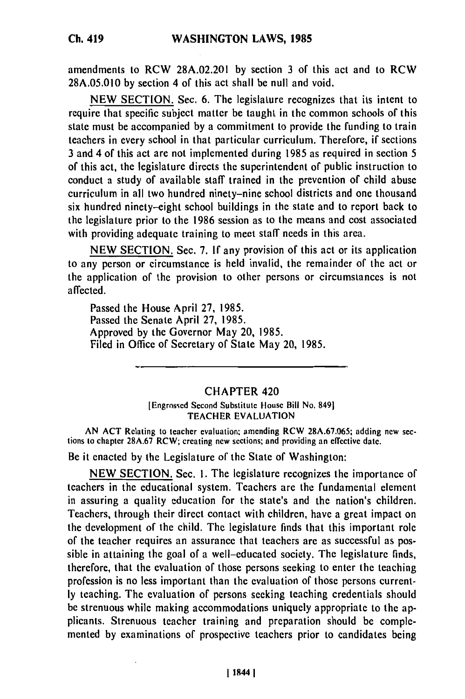amendments to RCW 28A.02.201 **by** section **3** of this act and to RCW **28A.05.010 by** section 4 of this act shall be null and void.

**NEW** SECTION. Sec. **6.** The legislature recognizes that its intent to require that specific subject matter be taught in the common schools of this state must be accompanied **by** a commitment to provide the funding to train teachers in every school in that particular curriculum. Therefore, if sections **3** and 4 of this act are not implemented during **1985** as required in section 5 of this act, the legislature directs the superintendent of public instruction to conduct a study of available staff trained in the prevention of child abuse curriculum in all two hundred ninety-nine school districts and one thousand six hundred ninety-eight school buildings in the state and to report back to the legislature prior to the **1986** session as to the means and cost associated with providing adequate training to meet staff needs in this area.

**NEW SECTION.** Sec. **7. If** any provision of this act or its application to any person or circumstance is held invalid, the remainder of the act or the application of the provision to other persons or circumstances is not affected.

Passed the House April **27, 1985.** Passed the Senate April **27, 1985.** Approved **by** the Governor May 20, **1985.** Filed in Office of Secretary of State May 20, **1985.**

## CHAPTER 420

[Engrossed Second Substitute House Bill No. 8491 TEACHER **EVALUATION**

**AN ACT** Relating to teacher evaluation; amending RCW **28A.67.065;** adding new sections to chapter **28A.67** RCW; creating new sections; and providing an effective date.

Be it enacted **by** the Legislature of the State of Washington:

**NEW SECTION.** Sec. **1.** The legislature recognizes the importance of teachers in the educational system. Teachers are the fundamental element in assuring a quality education for **the** state's and the nation's children. Teachers, through their direct contact with children, have a great impact on the development of the child. The legislature finds that this important role of the teacher requires an assurance that teachers are as successful as possible in attaining the goal of a well-educated society. The legislature finds, therefore, that the evaluation of those persons seeking to enter the teaching profession is no less important than the evaluation of those persons current**ly** teaching. The evaluation of persons seeking teaching credentials should be strenuous while making accommodations uniquely appropriate to the applicants. Strenuous teacher training and preparation should be complemented **by** examinations of prospective teachers prior to candidates being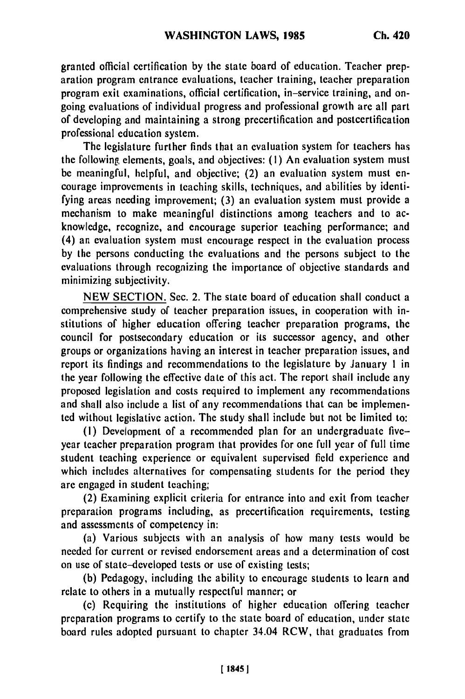granted official certification **by** the state board of education. Teacher preparation program entrance evaluations, teacher training, teacher preparation program exit examinations, official certification, in-service training, and ongoing evaluations of individual progress and professional growth are all part of developing and maintaining a strong precertification and postcertification professional education system.

The legislature further finds that an evaluation system for teachers has the following, elements, goals, and objectives: (I) An evaluation system must be meaningful, helpful, and objective; (2) an evaluation system must encourage improvements in teaching skills, techniques, and abilities **by** identifying areas needing improvement; **(3)** an evaluation system must provide a mechanism to make meaningful distinctions among teachers and to acknowledge, recognize, and encourage superior teaching performance; and (4) an evaluation system must encourage respect in the evaluation process **by** the persons conducting the evaluations and the persons subject to the evaluations through recognizing the importance of objective standards and minimizing subjectivity.

NEW SECTION. Sec. 2. The state board of education shall conduct a comprehensive study of teacher preparation issues, in cooperation with institutions of higher education offering teacher preparation programs, the council for postsecondary education or its successor agency, and other groups or organizations having an interest in teacher preparation issues, and report its findings and recommendations to the legislature **by** January 1 in the year following the effective date of this act. **The** report shall include any proposed legislation and costs required to implement any recommendations and shall also include a list of any recommendations that can be implemented without legislative action. The study shall include but not be limited to:

(I) Development of a recommended plan for an undergraduate fiveyear teacher preparation program that provides for one full year of full time student teaching experience or equivalent supervised **field** experience and which includes alternatives for compensating students for the period they are engaged in student teaching;

(2) Examining explicit criteria for entrance into and exit from teacher preparation programs including, as precertification requirements, testing and assessments of competency in:

(a) Various subjects with an analysis of how many tests would **be** needed for current or revised endorsement areas and a determination of cost on use of state-developed tests or use of existing tests;

(b) Pedagogy, including the ability to encourage students to learn and relate to others in a mutually respectful manner; or

(c) Requiring the institutions of higher education offering teacher preparation programs to certify to the state board of education, under state board rules adopted pursuant to chapter 34.04 RCW, that graduates from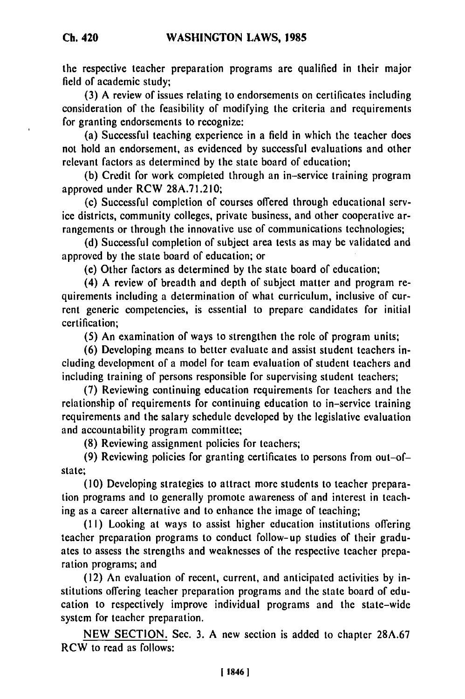the respective teacher preparation programs are qualified in their major field of academic study;

**(3) A** review of issues relating to endorsements on certificates including consideration of the feasibility of modifying the criteria and requirements for granting endorsements to recognize:

(a) Successful teaching experience in a field in which the teacher does not hold an endorsement, as evidenced **by** successful evaluations and other relevant factors as determined **by** the state board of education;

**(b)** Credit for work completed through an in-service training program approved under RCW **28A.71.210;**

(c) Successful completion of courses offered through educational service districts, community colleges, private business, and other cooperative arrangements or through the innovative use of communications technologies;

**(d)** Successful completion of subject area tests as may be validated and approved **by** the state board of education; or

(e) Other factors as determined **by** the state board of education;

(4) **A** review of breadth and depth of subject matter and program requirements including a determination of what curriculum, inclusive of current generic competencies, is essential to prepare candidates for initial certification;

**(5)** An examination of ways to strengthen the role of program units;

**(6)** Developing means to better evaluate and assist student teachers including development of a model for team evaluation of student teachers and including training of persons responsible for supervising student teachers;

**(7)** Reviewing continuing education requirements for teachers and the relationship of requirements for continuing education to in-service training requirements and the salary schedule developed **by** the legislative evaluation and accountability program committee;

**(8)** Reviewing assignment policies for teachers;

**(9)** Reviewing policies for granting certificates to persons from out-ofstate;

**(10)** Developing strategies to attract more students to teacher preparation programs and to generally promote awareness of and interest in teaching as a career alternative and to enhance the image of teaching;

**(1I)** Looking at ways to assist higher education institutions offering teacher preparation programs to conduct follow-up studies of their graduates to assess the strengths and weaknesses of the respective teacher preparation programs; and

(12) An evaluation of recent, current, and anticipated activities **by** institutions offering teacher preparation programs and the state board of education to respectively improve individual programs and the state-wide system for teacher preparation.

**NEW SECTION.** Sec. **3. A** new section is added to chapter **28A.67** RCW to read as follows: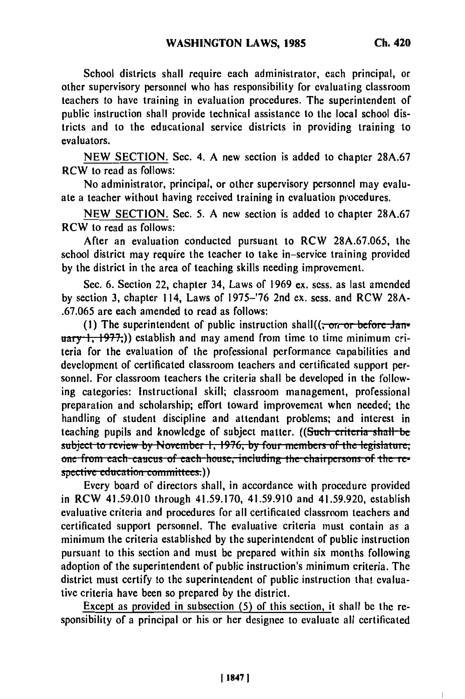School districts shall require each administrator, each principal, or other supervisory personnel who has responsibility for evaluating classroom teachers to have training in evaluation procedures. The superintendent of public instruction shall provide technical assistance to the local school districts and to the educational service districts in providing training to evaluators.

NEW SECTION. Sec. 4. A new section is added to chapter 28A.67 RCW to read as follows:

No administrator, principal, or other supervisory personnel may evaluate a teacher without having received training in evaluation procedures.

NEW SECTION. Sec. 5. A new section is added to chapter 28A.67 RCW to read as follows:

After an evaluation conducted pursuant to RCW 28A.67.065, the school district may require the teacher to take in-service training provided by the district in the area of teaching skills needing improvement.

Sec. 6. Section 22, chapter 34, Laws of 1969 ex. sess. as last amended by section 3, chapter 114, Laws of 1975-'76 2nd ex. sess. and RCW 28A- .67.065 are each amended to read as follows:

(1) The superintendent of public instruction shall((<del>, or or before Jan-</del> **uary 1, 1977.**)) establish and may amend from time to time minimum criteria for the evaluation of the professional performance capabilities and development of certificated classroom teachers and certificated support personnel. For classroom teachers the criteria shall be developed in the following categories: Instructional skill; classroom management, professional preparation and scholarship; effort toward improvement when needed; the handling of student discipline and attendant problems; and interest in teaching pupils and knowledge of subject matter. ((Such criteria shall be **subject to review by November 1, 1976, by four members of the legislature;** one from each caucus of each house, including the chairpersons of the re-<br>spective education committees.))

Every board of directors shall, in accordance with procedure provided in RCW 41.59.010 through 41.59.170, 41.59.910 and 41.59.920, establish evaluative criteria and procedures for all certificated classroom teachers and certificated support personnel. The evaluative criteria must contain as a minimum the criteria established by the superintendent of public instruction pursuant to this section and must be prepared within six months following adoption of the superintendent of public instruction's minimum criteria. The district must certify to the superintendent of public instruction that evaluative criteria have been so prepared by the district.

Except as provided in subsection **(5)** of this section, it shall be the responsibility of a principal or his or her designee to evaluate all certificated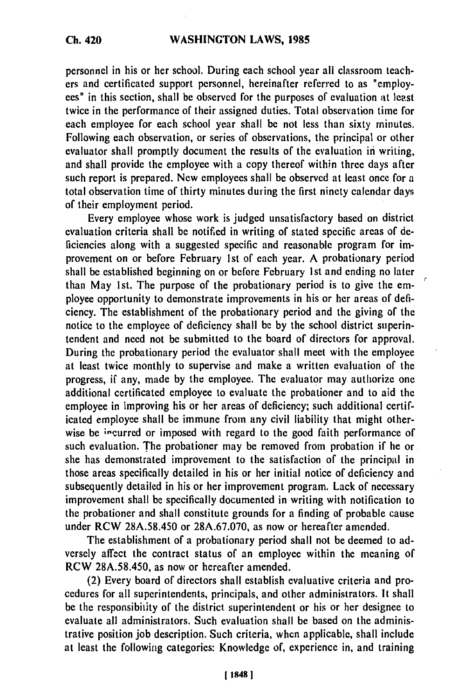## **WASHINGTON LAWS, 1985**

personnel in his or her school. During each school year all classroom teachers and certificated support personnel, hereinafter referred to as "employees" in this section, shall be observed for the purposes of evaluation **at** least twice in the performance of their assigned duties. Total observation time for each employee for each school year shall be not less than sixty minutes. Following each observation, or series of observations, the principal or other evaluator shall promptly document the results of the evaluation in writing, and shall provide the employee with a copy thereof within three days after such report is prepared. New employees shall be observed at least once for a total observation time of thirty minutes during the first ninety calendar days of their employment period.

Every employee whose work is judged unsatisfactory based on district evaluation criteria shall be notified in writing of stated specific areas of deficiencies along with a suggested specific and reasonable program for improvement on or before February 1st of each year. A probationary period shall be established beginning on or before February 1st and ending no later than May 1st. The purpose of the probationary period is to give the employee opportunity to demonstrate improvements in his or her areas of deficiency. The establishment of the probationary period and the giving of the notice to the employee of deficiency shall be by the school district superintendent and need not be submitted to the board of directors for approval. During the probationary period the evaluator shall meet with the employee at least twice monthly to supervise and make a written evaluation of the progress, if any, made by the employee. The evaluator may authorize one additional certificated employee to evaluate the probationer and to aid the employee in improving his or her areas of deficiency; such additional certificated employee shall be immune from any civil liability that might otherwise be incurred or imposed with regard to the good faith performance of such evaluation. The probationer may be removed from probation if he or she has demonstrated improvement to the satisfaction of the principal in those areas specifically detailed in his or her initial notice of deficiency and subsequently detailed in his or her improvement program. Lack of necessary improvement shall be specifically documented in writing with notification to the probationer and shall constitute grounds for a finding of probable cause under RCW 28A.58.450 or 28A.67.070, as now or hereafter amended.

The establishment of a probationary period shall not be deemed to adversely affect the contract status of an employee within the meaning of RCW 28A.58.450, as now or hereafter amended.

(2) Every board of directors shall establish evaluative criteria and procedures for all superintendents, principals, and other administrators. It shall **be** the responsibility of the district superintendent or his or her designee to evaluate all administrators. Such evaluation shall be based on the administrative position **job** description. Such criteria, when applicable, shall include at least the following categories: Knowledge of, experience in, and training

**Ch. 420**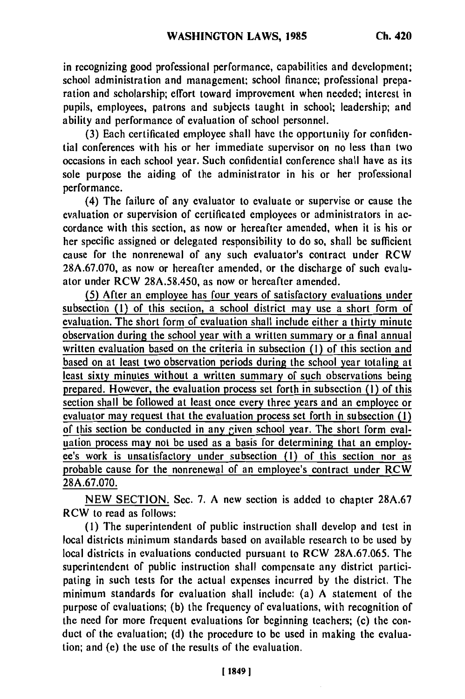in recognizing good professional performance, capabilities and development; school administration and management; school finance; professional preparation and scholarship; effort toward improvement when needed; interest in pupils, employees, patrons and subjects taught in school; leadership; and ability and performance of evaluation of school personnel.

(3) Each certificated employee shall have the opportunity for confidential conferences with his or her immediate supervisor on no less than two occasions in each school year. Such confidential conference shall have as its sole purpose the aiding of the administrator in his or her professional performance.

(4) The failure of any evaluator to evaluate or supervise or cause the evaluation or supervision of certificated employees or administrators in accordance with this section, as now or hereafter amended, when it is his or her specific assigned or delegated responsibility to do so, shall be sufficient cause for the nonrenewal of any such evaluator's contract under RCW 28A.67.070, as now or hereafter amended, or the discharge of such evaluator under RCW 28A.58.450, as now or hereafter amended.

(5) After an employee has four years of satisfactory evaluations under subsection **(1)** of this section, a school district may use a short form of evaluation. The short form of evaluation shall include either a thirty minute observation during the school year with a written summary or a final annual written evaluation based on the criteria in subsection **(1)** of this section and based on at least two observation periods during the school year totaling at least sixty minutes without a written summary of such observations being prepared. However, the evaluation process set forth in subsection (1) of this section shall be followed at least once every three years and an employee or evaluator may request that the evaluation process set forth in subsection (I) of this section be conducted in any given school year. The short form evaluation process may not be used as a basis for determining that an employee's work is unsatisfactory under subsection (I) of this section nor as probable cause for the nonrenewal of an employee's contract under RCW 28A.67.070.

NEW SECTION. Sec. 7. A new section is added to chapter 28A.67 RCW to read as follows:

**(1)** The superintendent of public instruction shall develop and test in local districts minimum standards based on available research to be used by local districts in evaluations conducted pursuant to RCW 28A.67.065. The superintendent of public instruction shall compensate any district participating in such tests for the actual expenses incurred by the district. The minimum standards for evaluation shall include: (a) A statement of the purpose of evaluations; (b) the frequency of evaluations, with recognition of the need for more frequent evaluations for beginning teachers; (c) the conduct of the evaluation; (d) the procedure to be used in making the evaluation; and (e) the use of the results of the evaluation.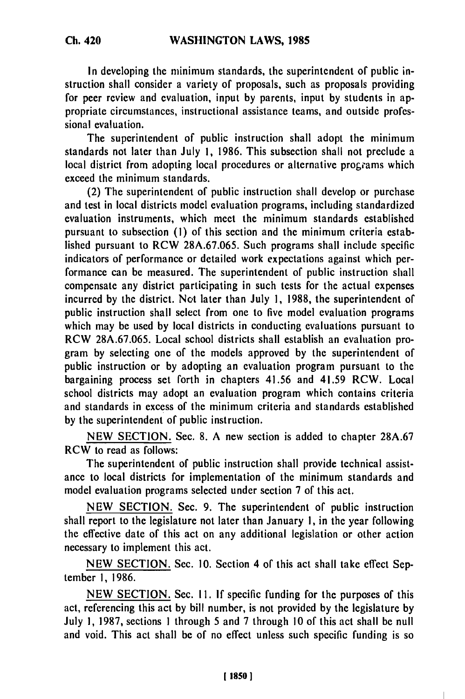In developing the minimum standards, the superintendent of public instruction shall consider a variety of proposals, such as proposals providing for peer review and evaluation, input by parents, input by students in appropriate circumstances, instructional assistance teams, and outside professional evaluation.

The superintendent of public instruction shall adopt the minimum standards not later than July 1, 1986. This subsection shall not preclude a local district from adopting local procedures or alternative programs which exceed the minimum standards.

(2) The superintendent of public instruction shall develop or purchase and test in local districts model evaluation programs, including standardized evaluation instruments, which meet the minimum standards established pursuant to subsection **(1)** of this section and the minimum criteria established pursuant to RCW 28A.67.065. Such programs shall include specific indicators of performance or detailed work expectations against which performance can be measured. The superintendent of public instruction shall compensate any district participating in such tests for the actual expenses incurred by the district. Not later than July **1,** 1988, the superintendent of public instruction shall select from one to five model evaluation programs which may be used by local districts in conducting evaluations pursuant to RCW 28A.67.065. Local school districts shall establish an evaluation program by selecting one of the models approved by the superintendent of public instruction or by adopting an evaluation program pursuant to the bargaining process set forth in chapters 41.56 and 41.59 RCW. Local school districts may adopt an evaluation program which contains criteria and standards in excess of the minimum criteria and standards established by the superintendent of public instruction.

NEW SECTION. Sec. 8. A new section is added to chapter 28A.67 RCW to read as follows:

The superintendent of public instruction shall provide technical assistance to local districts for implementation of the minimum standards and model evaluation programs selected under section 7 of this act.

NEW SECTION. Sec. 9. The superintendent of public instruction shall report to the legislature not later than January 1, in the year following the effective date of this act on any additional legislation or other action necessary to implement this act.

NEW SECTION. Sec. 10. Section 4 of this act shall take effect September **1,** 1986.

NEW SECTION. Sec. 11. If specific funding for the purposes of this act, referencing this act by bill number, is not provided by the legislature by July 1, 1987, sections 1 through 5 and 7 through 10 of this act shall be null and void. This act shall be of no effect unless such specific funding is so